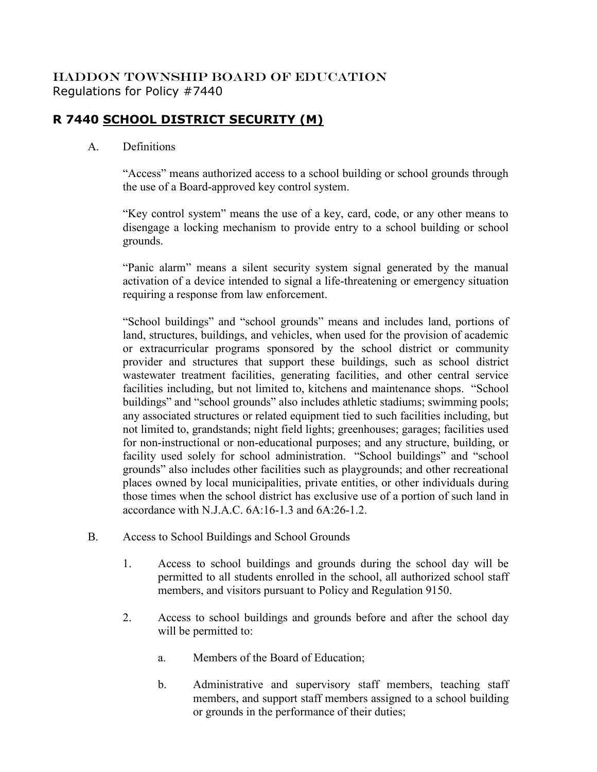## HADDON TOWNSHIP BOARD OF EDUCATION Regulations for Policy #7440

## **R 7440 SCHOOL DISTRICT SECURITY (M)**

## A. Definitions

"Access" means authorized access to a school building or school grounds through the use of a Board-approved key control system.

"Key control system" means the use of a key, card, code, or any other means to disengage a locking mechanism to provide entry to a school building or school grounds.

"Panic alarm" means a silent security system signal generated by the manual activation of a device intended to signal a life-threatening or emergency situation requiring a response from law enforcement.

"School buildings" and "school grounds" means and includes land, portions of land, structures, buildings, and vehicles, when used for the provision of academic or extracurricular programs sponsored by the school district or community provider and structures that support these buildings, such as school district wastewater treatment facilities, generating facilities, and other central service facilities including, but not limited to, kitchens and maintenance shops. "School buildings" and "school grounds" also includes athletic stadiums; swimming pools; any associated structures or related equipment tied to such facilities including, but not limited to, grandstands; night field lights; greenhouses; garages; facilities used for non-instructional or non-educational purposes; and any structure, building, or facility used solely for school administration. "School buildings" and "school grounds" also includes other facilities such as playgrounds; and other recreational places owned by local municipalities, private entities, or other individuals during those times when the school district has exclusive use of a portion of such land in accordance with N.J.A.C. 6A:16-1.3 and 6A:26-1.2.

- B. Access to School Buildings and School Grounds
	- 1. Access to school buildings and grounds during the school day will be permitted to all students enrolled in the school, all authorized school staff members, and visitors pursuant to Policy and Regulation 9150.
	- 2. Access to school buildings and grounds before and after the school day will be permitted to:
		- a. Members of the Board of Education;
		- b. Administrative and supervisory staff members, teaching staff members, and support staff members assigned to a school building or grounds in the performance of their duties;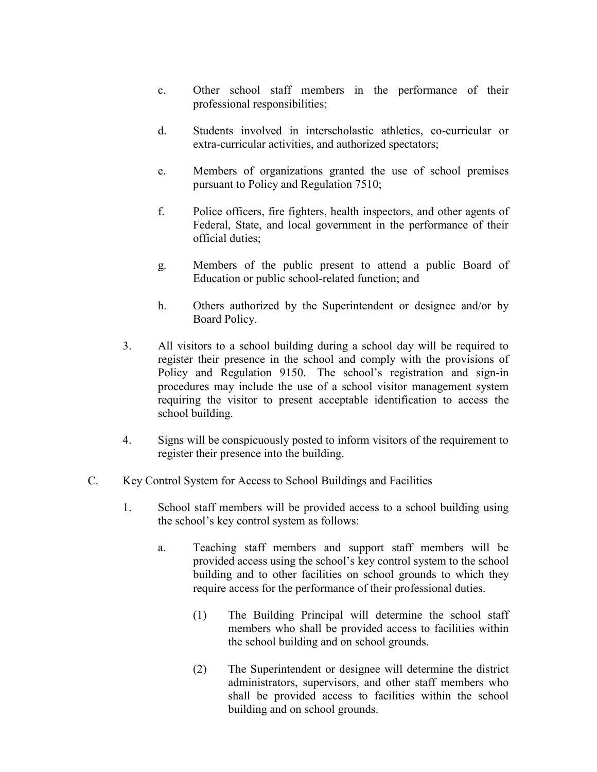- c. Other school staff members in the performance of their professional responsibilities;
- d. Students involved in interscholastic athletics, co-curricular or extra-curricular activities, and authorized spectators;
- e. Members of organizations granted the use of school premises pursuant to Policy and Regulation 7510;
- f. Police officers, fire fighters, health inspectors, and other agents of Federal, State, and local government in the performance of their official duties;
- g. Members of the public present to attend a public Board of Education or public school-related function; and
- h. Others authorized by the Superintendent or designee and/or by Board Policy.
- 3. All visitors to a school building during a school day will be required to register their presence in the school and comply with the provisions of Policy and Regulation 9150. The school's registration and sign-in procedures may include the use of a school visitor management system requiring the visitor to present acceptable identification to access the school building.
- 4. Signs will be conspicuously posted to inform visitors of the requirement to register their presence into the building.
- C. Key Control System for Access to School Buildings and Facilities
	- 1. School staff members will be provided access to a school building using the school's key control system as follows:
		- a. Teaching staff members and support staff members will be provided access using the school's key control system to the school building and to other facilities on school grounds to which they require access for the performance of their professional duties.
			- (1) The Building Principal will determine the school staff members who shall be provided access to facilities within the school building and on school grounds.
			- (2) The Superintendent or designee will determine the district administrators, supervisors, and other staff members who shall be provided access to facilities within the school building and on school grounds.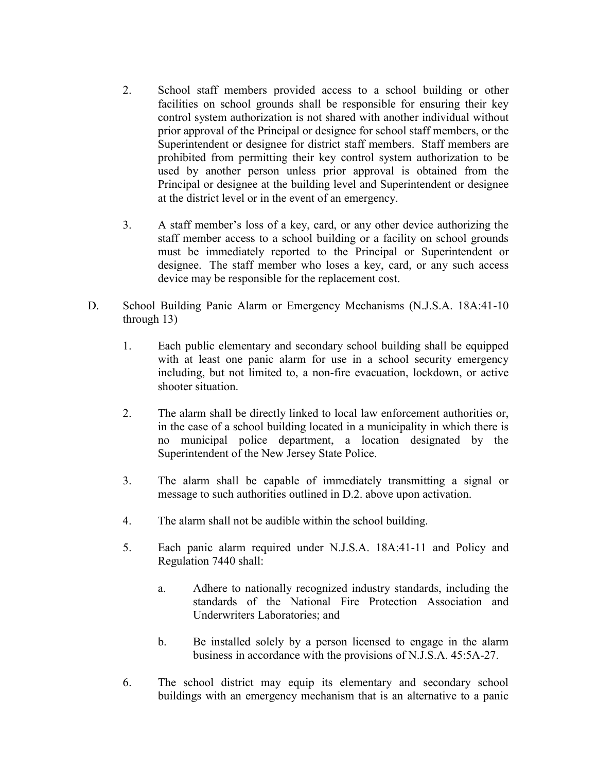- 2. School staff members provided access to a school building or other facilities on school grounds shall be responsible for ensuring their key control system authorization is not shared with another individual without prior approval of the Principal or designee for school staff members, or the Superintendent or designee for district staff members. Staff members are prohibited from permitting their key control system authorization to be used by another person unless prior approval is obtained from the Principal or designee at the building level and Superintendent or designee at the district level or in the event of an emergency.
- 3. A staff member's loss of a key, card, or any other device authorizing the staff member access to a school building or a facility on school grounds must be immediately reported to the Principal or Superintendent or designee. The staff member who loses a key, card, or any such access device may be responsible for the replacement cost.
- D. School Building Panic Alarm or Emergency Mechanisms (N.J.S.A. 18A:41-10 through 13)
	- 1. Each public elementary and secondary school building shall be equipped with at least one panic alarm for use in a school security emergency including, but not limited to, a non-fire evacuation, lockdown, or active shooter situation.
	- 2. The alarm shall be directly linked to local law enforcement authorities or, in the case of a school building located in a municipality in which there is no municipal police department, a location designated by the Superintendent of the New Jersey State Police.
	- 3. The alarm shall be capable of immediately transmitting a signal or message to such authorities outlined in D.2. above upon activation.
	- 4. The alarm shall not be audible within the school building.
	- 5. Each panic alarm required under N.J.S.A. 18A:41-11 and Policy and Regulation 7440 shall:
		- a. Adhere to nationally recognized industry standards, including the standards of the National Fire Protection Association and Underwriters Laboratories; and
		- b. Be installed solely by a person licensed to engage in the alarm business in accordance with the provisions of N.J.S.A. 45:5A-27.
	- 6. The school district may equip its elementary and secondary school buildings with an emergency mechanism that is an alternative to a panic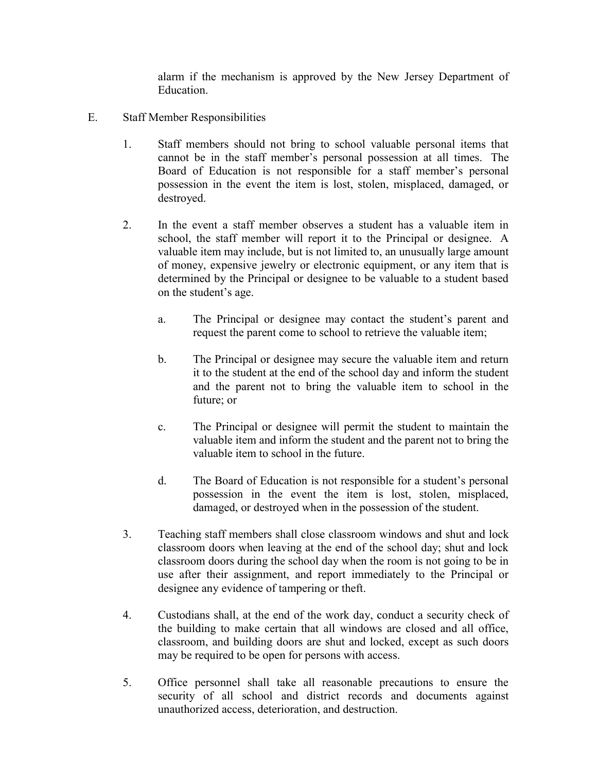alarm if the mechanism is approved by the New Jersey Department of Education.

- E. Staff Member Responsibilities
	- 1. Staff members should not bring to school valuable personal items that cannot be in the staff member's personal possession at all times. The Board of Education is not responsible for a staff member's personal possession in the event the item is lost, stolen, misplaced, damaged, or destroyed.
	- 2. In the event a staff member observes a student has a valuable item in school, the staff member will report it to the Principal or designee. A valuable item may include, but is not limited to, an unusually large amount of money, expensive jewelry or electronic equipment, or any item that is determined by the Principal or designee to be valuable to a student based on the student's age.
		- a. The Principal or designee may contact the student's parent and request the parent come to school to retrieve the valuable item;
		- b. The Principal or designee may secure the valuable item and return it to the student at the end of the school day and inform the student and the parent not to bring the valuable item to school in the future; or
		- c. The Principal or designee will permit the student to maintain the valuable item and inform the student and the parent not to bring the valuable item to school in the future.
		- d. The Board of Education is not responsible for a student's personal possession in the event the item is lost, stolen, misplaced, damaged, or destroyed when in the possession of the student.
	- 3. Teaching staff members shall close classroom windows and shut and lock classroom doors when leaving at the end of the school day; shut and lock classroom doors during the school day when the room is not going to be in use after their assignment, and report immediately to the Principal or designee any evidence of tampering or theft.
	- 4. Custodians shall, at the end of the work day, conduct a security check of the building to make certain that all windows are closed and all office, classroom, and building doors are shut and locked, except as such doors may be required to be open for persons with access.
	- 5. Office personnel shall take all reasonable precautions to ensure the security of all school and district records and documents against unauthorized access, deterioration, and destruction.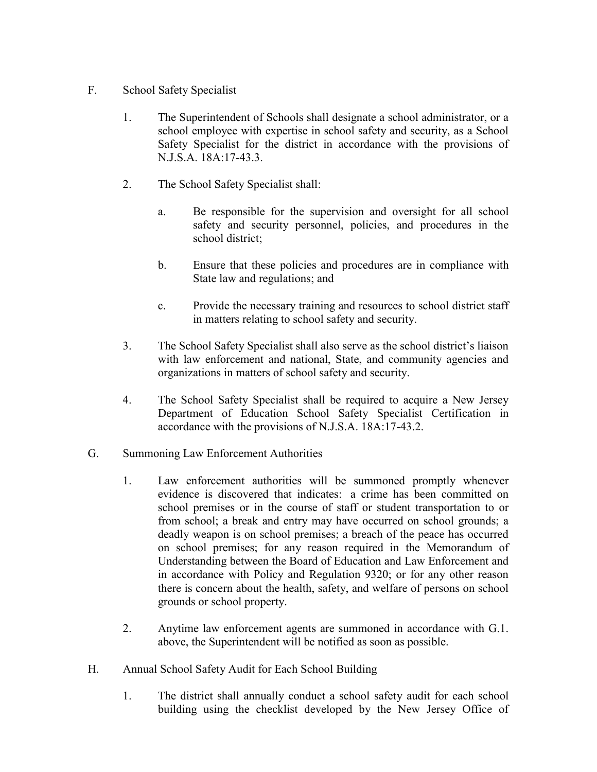- F. School Safety Specialist
	- 1. The Superintendent of Schools shall designate a school administrator, or a school employee with expertise in school safety and security, as a School Safety Specialist for the district in accordance with the provisions of N.J.S.A. 18A:17-43.3.
	- 2. The School Safety Specialist shall:
		- a. Be responsible for the supervision and oversight for all school safety and security personnel, policies, and procedures in the school district;
		- b. Ensure that these policies and procedures are in compliance with State law and regulations; and
		- c. Provide the necessary training and resources to school district staff in matters relating to school safety and security.
	- 3. The School Safety Specialist shall also serve as the school district's liaison with law enforcement and national, State, and community agencies and organizations in matters of school safety and security.
	- 4. The School Safety Specialist shall be required to acquire a New Jersey Department of Education School Safety Specialist Certification in accordance with the provisions of N.J.S.A. 18A:17-43.2.
- G. Summoning Law Enforcement Authorities
	- 1. Law enforcement authorities will be summoned promptly whenever evidence is discovered that indicates: a crime has been committed on school premises or in the course of staff or student transportation to or from school; a break and entry may have occurred on school grounds; a deadly weapon is on school premises; a breach of the peace has occurred on school premises; for any reason required in the Memorandum of Understanding between the Board of Education and Law Enforcement and in accordance with Policy and Regulation 9320; or for any other reason there is concern about the health, safety, and welfare of persons on school grounds or school property.
	- 2. Anytime law enforcement agents are summoned in accordance with G.1. above, the Superintendent will be notified as soon as possible.
- H. Annual School Safety Audit for Each School Building
	- 1. The district shall annually conduct a school safety audit for each school building using the checklist developed by the New Jersey Office of